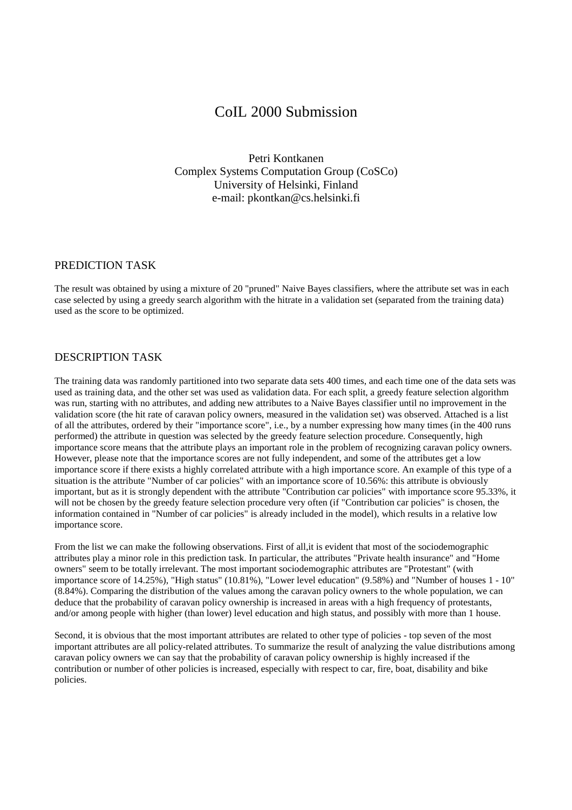## CoIL 2000 Submission

Petri Kontkanen Complex Systems Computation Group (CoSCo) University of Helsinki, Finland e-mail: pkontkan@cs.helsinki.fi

## PREDICTION TASK

The result was obtained by using a mixture of 20 "pruned" Naive Bayes classifiers, where the attribute set was in each case selected by using a greedy search algorithm with the hitrate in a validation set (separated from the training data) used as the score to be optimized.

## DESCRIPTION TASK

The training data was randomly partitioned into two separate data sets 400 times, and each time one of the data sets was used as training data, and the other set was used as validation data. For each split, a greedy feature selection algorithm was run, starting with no attributes, and adding new attributes to a Naive Bayes classifier until no improvement in the validation score (the hit rate of caravan policy owners, measured in the validation set) was observed. Attached is a list of all the attributes, ordered by their "importance score", i.e., by a number expressing how many times (in the 400 runs performed) the attribute in question was selected by the greedy feature selection procedure. Consequently, high importance score means that the attribute plays an important role in the problem of recognizing caravan policy owners. However, please note that the importance scores are not fully independent, and some of the attributes get a low importance score if there exists a highly correlated attribute with a high importance score. An example of this type of a situation is the attribute "Number of car policies" with an importance score of 10.56%: this attribute is obviously important, but as it is strongly dependent with the attribute "Contribution car policies" with importance score 95.33%, it will not be chosen by the greedy feature selection procedure very often (if "Contribution car policies" is chosen, the information contained in "Number of car policies" is already included in the model), which results in a relative low importance score.

From the list we can make the following observations. First of all,it is evident that most of the sociodemographic attributes play a minor role in this prediction task. In particular, the attributes "Private health insurance" and "Home owners" seem to be totally irrelevant. The most important sociodemographic attributes are "Protestant" (with importance score of 14.25%), "High status" (10.81%), "Lower level education" (9.58%) and "Number of houses 1 - 10" (8.84%). Comparing the distribution of the values among the caravan policy owners to the whole population, we can deduce that the probability of caravan policy ownership is increased in areas with a high frequency of protestants, and/or among people with higher (than lower) level education and high status, and possibly with more than 1 house.

Second, it is obvious that the most important attributes are related to other type of policies - top seven of the most important attributes are all policy-related attributes. To summarize the result of analyzing the value distributions among caravan policy owners we can say that the probability of caravan policy ownership is highly increased if the contribution or number of other policies is increased, especially with respect to car, fire, boat, disability and bike policies.